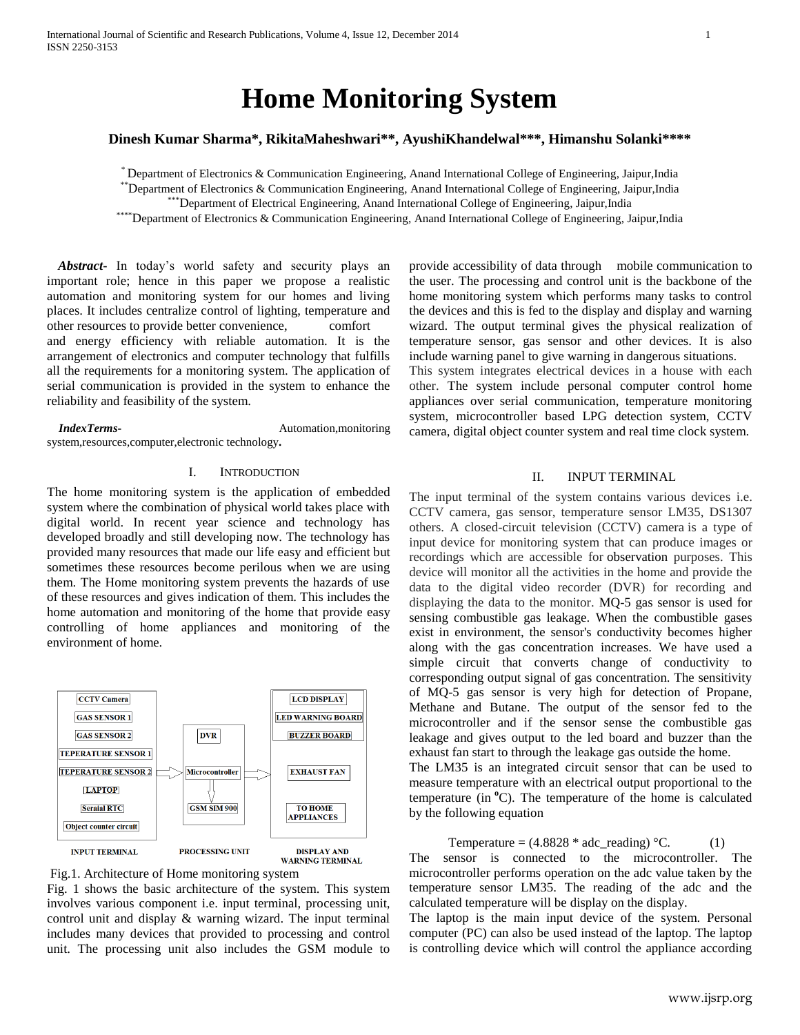# **Home Monitoring System**

**Dinesh Kumar Sharma\*, RikitaMaheshwari\*\*, AyushiKhandelwal\*\*\*, Himanshu Solanki\*\*\*\***

\* Department of Electronics & Communication Engineering, Anand International College of Engineering, Jaipur,India

\*\*Department of Electronics & Communication Engineering, Anand International College of Engineering, Jaipur,India

\*\*\*Department of Electrical Engineering, Anand International College of Engineering, Jaipur,India

\*\*\*\*\*Department of Electronics & Communication Engineering, Anand International College of Engineering, Jaipur,India

*Abstract***-** In today's world safety and security plays an important role; hence in this paper we propose a realistic automation and monitoring system for our homes and living places. It includes centralize control of lighting, temperature and other resources to provide better convenience, comfort and energy efficiency with reliable automation. It is the arrangement of electronics and computer technology that fulfills all the requirements for a monitoring system. The application of serial communication is provided in the system to enhance the reliability and feasibility of the system.

*IndexTerms***-** Automation,monitoring system,resources,computer,electronic technology**.**

# I. INTRODUCTION

The home monitoring system is the application of embedded system where the combination of physical world takes place with digital world. In recent year science and technology has developed broadly and still developing now. The technology has provided many resources that made our life easy and efficient but sometimes these resources become perilous when we are using them. The Home monitoring system prevents the hazards of use of these resources and gives indication of them. This includes the home automation and monitoring of the home that provide easy controlling of home appliances and monitoring of the environment of home.





Fig. 1 shows the basic architecture of the system. This system involves various component i.e. input terminal, processing unit, control unit and display & warning wizard. The input terminal includes many devices that provided to processing and control unit. The processing unit also includes the GSM module to

provide accessibility of data through mobile communication to the user. The processing and control unit is the backbone of the home monitoring system which performs many tasks to control the devices and this is fed to the display and display and warning wizard. The output terminal gives the physical realization of temperature sensor, gas sensor and other devices. It is also include warning panel to give warning in dangerous situations.

This system integrates electrical devices in a house with each other. The system include personal computer control home appliances over serial communication, temperature monitoring system, microcontroller based LPG detection system, CCTV camera, digital object counter system and real time clock system.

## II. INPUT TERMINAL

The input terminal of the system contains various devices i.e. CCTV camera, gas sensor, temperature sensor LM35, DS1307 others. A closed-circuit television (CCTV) camera is a type of input device for monitoring system that can produce images or recordings which are accessible for observation purposes. This device will monitor all the activities in the home and provide the data to the digital video recorder (DVR) for recording and displaying the data to the monitor. MQ-5 gas sensor is used for sensing combustible gas leakage. When the combustible gases exist in environment, the sensor's conductivity becomes higher along with the gas concentration increases. We have used a simple circuit that converts change of conductivity to corresponding output signal of gas concentration. The sensitivity of MQ-5 gas sensor is very high for detection of Propane, Methane and Butane. The output of the sensor fed to the microcontroller and if the sensor sense the combustible gas leakage and gives output to the led board and buzzer than the exhaust fan start to through the leakage gas outside the home.

The LM35 is an integrated circuit sensor that can be used to measure temperature with an electrical output proportional to the temperature (in **<sup>o</sup>**C). The temperature of the home is calculated by the following equation

Temperature =  $(4.8828 * adc<sub>__</sub> reading) °C.$  (1)

The sensor is connected to the microcontroller. The microcontroller performs operation on the adc value taken by the temperature sensor LM35. The reading of the adc and the calculated temperature will be display on the display.

The laptop is the main input device of the system. Personal computer (PC) can also be used instead of the laptop. The laptop is controlling device which will control the appliance according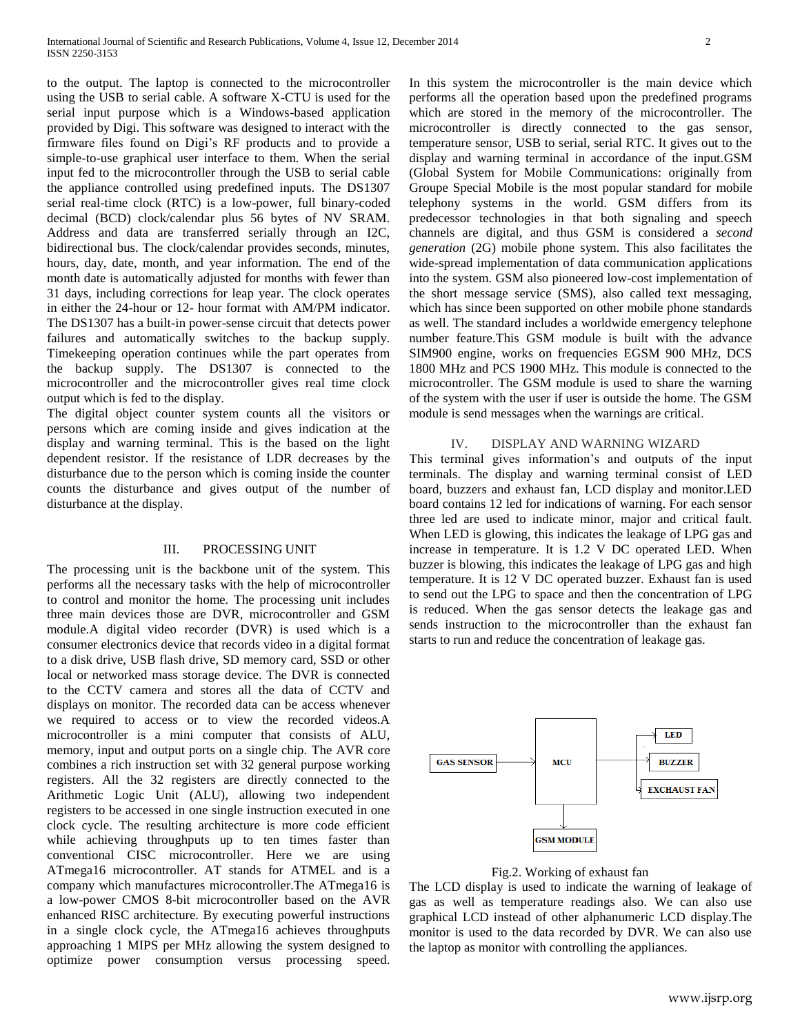to the output. The laptop is connected to the microcontroller using the USB to serial cable. A software X-CTU is used for the serial input purpose which is a Windows-based application provided by Digi. This software was designed to interact with the firmware files found on Digi's RF products and to provide a simple-to-use graphical user interface to them. When the serial input fed to the microcontroller through the USB to serial cable the appliance controlled using predefined inputs. The DS1307 serial real-time clock (RTC) is a low-power, full binary-coded decimal (BCD) clock/calendar plus 56 bytes of NV SRAM. Address and data are transferred serially through an I2C, bidirectional bus. The clock/calendar provides seconds, minutes, hours, day, date, month, and year information. The end of the month date is automatically adjusted for months with fewer than 31 days, including corrections for leap year. The clock operates in either the 24-hour or 12- hour format with AM/PM indicator. The DS1307 has a built-in power-sense circuit that detects power failures and automatically switches to the backup supply. Timekeeping operation continues while the part operates from the backup supply. The DS1307 is connected to the microcontroller and the microcontroller gives real time clock output which is fed to the display.

The digital object counter system counts all the visitors or persons which are coming inside and gives indication at the display and warning terminal. This is the based on the light dependent resistor. If the resistance of LDR decreases by the disturbance due to the person which is coming inside the counter counts the disturbance and gives output of the number of disturbance at the display.

## III. PROCESSING UNIT

The processing unit is the backbone unit of the system. This performs all the necessary tasks with the help of microcontroller to control and monitor the home. The processing unit includes three main devices those are DVR, microcontroller and GSM module.A digital video recorder (DVR) is used which is a consumer electronics device that records video in a digital format to a disk drive, USB flash drive, SD memory card, SSD or other local or networked mass storage device. The DVR is connected to the CCTV camera and stores all the data of CCTV and displays on monitor. The recorded data can be access whenever we required to access or to view the recorded videos.A microcontroller is a mini computer that consists of ALU, memory, input and output ports on a single chip. The AVR core combines a rich instruction set with 32 general purpose working registers. All the 32 registers are directly connected to the Arithmetic Logic Unit (ALU), allowing two independent registers to be accessed in one single instruction executed in one clock cycle. The resulting architecture is more code efficient while achieving throughputs up to ten times faster than conventional CISC microcontroller. Here we are using ATmega16 microcontroller. AT stands for ATMEL and is a company which manufactures microcontroller.The ATmega16 is a low-power CMOS 8-bit microcontroller based on the AVR enhanced RISC architecture. By executing powerful instructions in a single clock cycle, the ATmega16 achieves throughputs approaching 1 MIPS per MHz allowing the system designed to optimize power consumption versus processing speed.

In this system the microcontroller is the main device which performs all the operation based upon the predefined programs which are stored in the memory of the microcontroller. The microcontroller is directly connected to the gas sensor, temperature sensor, USB to serial, serial RTC. It gives out to the display and warning terminal in accordance of the input.GSM (Global System for Mobile Communications: originally from Groupe Special Mobile is the most popular standard for mobile telephony systems in the world. GSM differs from its predecessor technologies in that both signaling and speech channels are digital, and thus GSM is considered a *second generation* (2G) mobile phone system. This also facilitates the wide-spread implementation of data communication applications into the system. GSM also pioneered low-cost implementation of the short message service (SMS), also called text messaging, which has since been supported on other mobile phone standards as well. The standard includes a worldwide emergency telephone number feature.This GSM module is built with the advance SIM900 engine, works on frequencies EGSM 900 MHz, DCS 1800 MHz and PCS 1900 MHz. This module is connected to the microcontroller. The GSM module is used to share the warning of the system with the user if user is outside the home. The GSM module is send messages when the warnings are critical.

## IV. DISPLAY AND WARNING WIZARD

This terminal gives information's and outputs of the input terminals. The display and warning terminal consist of LED board, buzzers and exhaust fan, LCD display and monitor.LED board contains 12 led for indications of warning. For each sensor three led are used to indicate minor, major and critical fault. When LED is glowing, this indicates the leakage of LPG gas and increase in temperature. It is 1.2 V DC operated LED. When buzzer is blowing, this indicates the leakage of LPG gas and high temperature. It is 12 V DC operated buzzer. Exhaust fan is used to send out the LPG to space and then the concentration of LPG is reduced. When the gas sensor detects the leakage gas and sends instruction to the microcontroller than the exhaust fan starts to run and reduce the concentration of leakage gas.





The LCD display is used to indicate the warning of leakage of gas as well as temperature readings also. We can also use graphical LCD instead of other alphanumeric LCD display.The monitor is used to the data recorded by DVR. We can also use the laptop as monitor with controlling the appliances.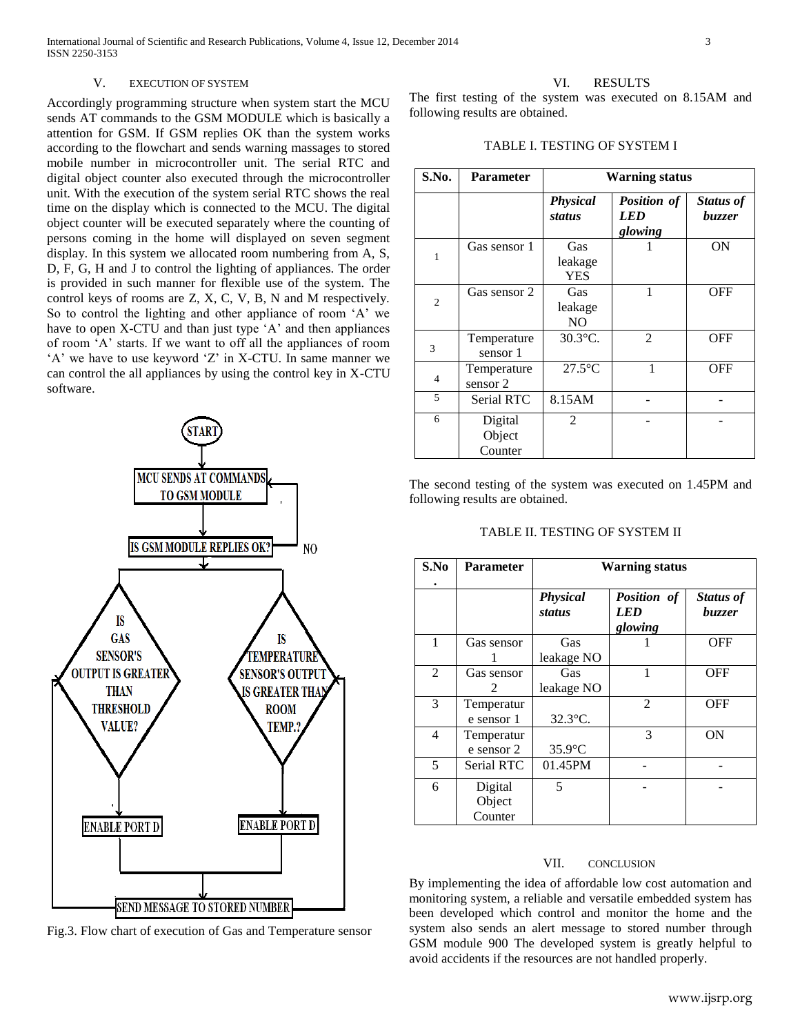## V. EXECUTION OF SYSTEM

Accordingly programming structure when system start the MCU sends AT commands to the GSM MODULE which is basically a attention for GSM. If GSM replies OK than the system works according to the flowchart and sends warning massages to stored mobile number in microcontroller unit. The serial RTC and digital object counter also executed through the microcontroller unit. With the execution of the system serial RTC shows the real time on the display which is connected to the MCU. The digital object counter will be executed separately where the counting of persons coming in the home will displayed on seven segment display. In this system we allocated room numbering from A, S, D, F, G, H and J to control the lighting of appliances. The order is provided in such manner for flexible use of the system. The control keys of rooms are Z, X, C, V, B, N and M respectively. So to control the lighting and other appliance of room 'A' we have to open X-CTU and than just type 'A' and then appliances of room 'A' starts. If we want to off all the appliances of room 'A' we have to use keyword 'Z' in X-CTU. In same manner we can control the all appliances by using the control key in X-CTU software.



Fig.3. Flow chart of execution of Gas and Temperature sensor

# VI. RESULTS

The first testing of the system was executed on 8.15AM and following results are obtained.

TABLE I. TESTING OF SYSTEM I

| S.No.          | <b>Parameter</b>             | <b>Warning status</b>            |                                      |                            |
|----------------|------------------------------|----------------------------------|--------------------------------------|----------------------------|
|                |                              | <b>Physical</b><br><b>status</b> | Position of<br><i>LED</i><br>glowing | Status of<br><i>buzzer</i> |
| 1              | Gas sensor 1                 | Gas<br>leakage<br><b>YES</b>     |                                      | ON                         |
| $\overline{c}$ | Gas sensor 2                 | Gas<br>leakage<br>N <sub>O</sub> | 1                                    | <b>OFF</b>                 |
| 3              | Temperature<br>sensor 1      | 30.3°C.                          | 2                                    | <b>OFF</b>                 |
| $\overline{4}$ | Temperature<br>sensor 2      | $27.5^{\circ}$ C                 | 1                                    | OFF                        |
| 5              | <b>Serial RTC</b>            | 8.15AM                           |                                      |                            |
| 6              | Digital<br>Object<br>Counter | $\mathfrak{D}$                   |                                      |                            |

The second testing of the system was executed on 1.45PM and following results are obtained.

# TABLE II. TESTING OF SYSTEM II

| S.No | <b>Parameter</b>             | <b>Warning status</b>            |                               |                     |  |
|------|------------------------------|----------------------------------|-------------------------------|---------------------|--|
|      |                              | <b>Physical</b><br><b>status</b> | Position of<br>LED<br>glowing | Status of<br>buzzer |  |
| 1    | Gas sensor                   | Gas<br>leakage NO                |                               | <b>OFF</b>          |  |
| 2    | Gas sensor<br>$\mathcal{L}$  | Gas<br>leakage NO                | 1                             | <b>OFF</b>          |  |
| 3    | Temperatur<br>e sensor 1     | 32.3°C.                          | $\mathfrak{D}$                | <b>OFF</b>          |  |
| 4    | Temperatur<br>e sensor 2     | $35.9$ °C                        | 3                             | 0N                  |  |
| 5    | Serial RTC                   | 01.45PM                          |                               |                     |  |
| 6    | Digital<br>Object<br>Counter | 5                                |                               |                     |  |

# VII. CONCLUSION

By implementing the idea of affordable low cost automation and monitoring system, a reliable and versatile embedded system has been developed which control and monitor the home and the system also sends an alert message to stored number through GSM module 900 The developed system is greatly helpful to avoid accidents if the resources are not handled properly.